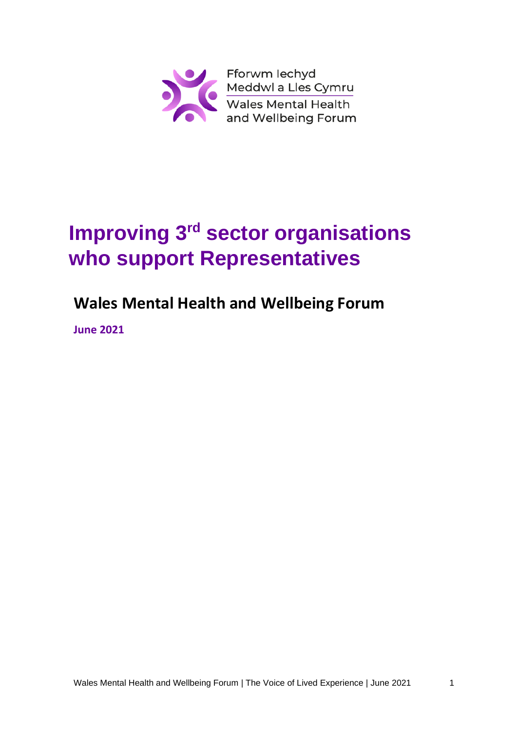

# **Improving 3<sup>rd</sup> sector organisations who support Representatives**

# **Wales Mental Health and Wellbeing Forum**

**June 2021**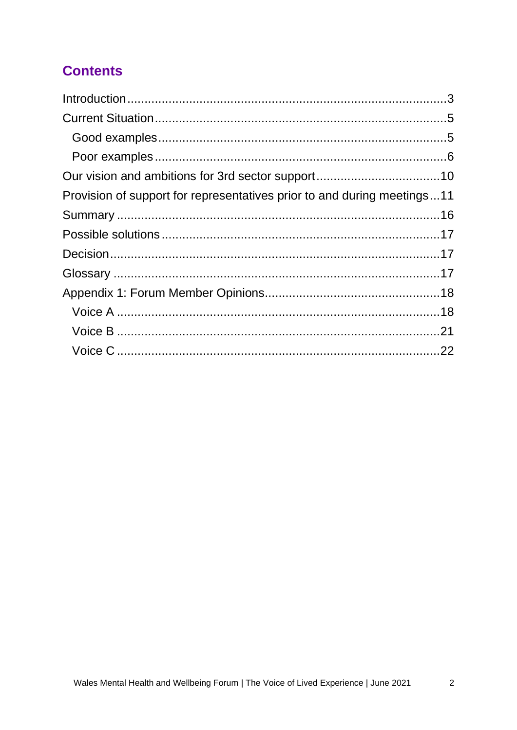## **Contents**

| Provision of support for representatives prior to and during meetings11 |
|-------------------------------------------------------------------------|
|                                                                         |
|                                                                         |
|                                                                         |
|                                                                         |
|                                                                         |
|                                                                         |
|                                                                         |
|                                                                         |
|                                                                         |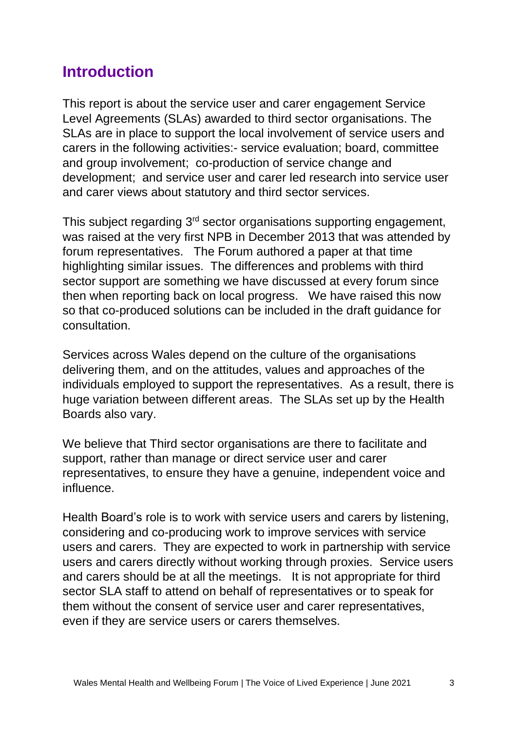# <span id="page-2-0"></span>**Introduction**

This report is about the service user and carer engagement Service Level Agreements (SLAs) awarded to third sector organisations. The SLAs are in place to support the local involvement of service users and carers in the following activities:- service evaluation; board, committee and group involvement; co-production of service change and development; and service user and carer led research into service user and carer views about statutory and third sector services.

This subject regarding 3<sup>rd</sup> sector organisations supporting engagement, was raised at the very first NPB in December 2013 that was attended by forum representatives. The Forum authored a paper at that time highlighting similar issues. The differences and problems with third sector support are something we have discussed at every forum since then when reporting back on local progress. We have raised this now so that co-produced solutions can be included in the draft guidance for consultation.

Services across Wales depend on the culture of the organisations delivering them, and on the attitudes, values and approaches of the individuals employed to support the representatives. As a result, there is huge variation between different areas. The SLAs set up by the Health Boards also vary.

We believe that Third sector organisations are there to facilitate and support, rather than manage or direct service user and carer representatives, to ensure they have a genuine, independent voice and influence.

Health Board's role is to work with service users and carers by listening, considering and co-producing work to improve services with service users and carers. They are expected to work in partnership with service users and carers directly without working through proxies. Service users and carers should be at all the meetings. It is not appropriate for third sector SLA staff to attend on behalf of representatives or to speak for them without the consent of service user and carer representatives, even if they are service users or carers themselves.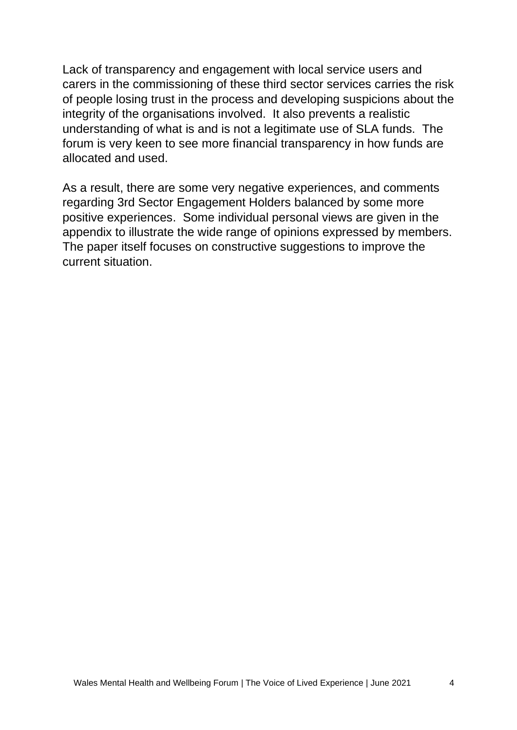Lack of transparency and engagement with local service users and carers in the commissioning of these third sector services carries the risk of people losing trust in the process and developing suspicions about the integrity of the organisations involved. It also prevents a realistic understanding of what is and is not a legitimate use of SLA funds. The forum is very keen to see more financial transparency in how funds are allocated and used.

As a result, there are some very negative experiences, and comments regarding 3rd Sector Engagement Holders balanced by some more positive experiences. Some individual personal views are given in the appendix to illustrate the wide range of opinions expressed by members. The paper itself focuses on constructive suggestions to improve the current situation.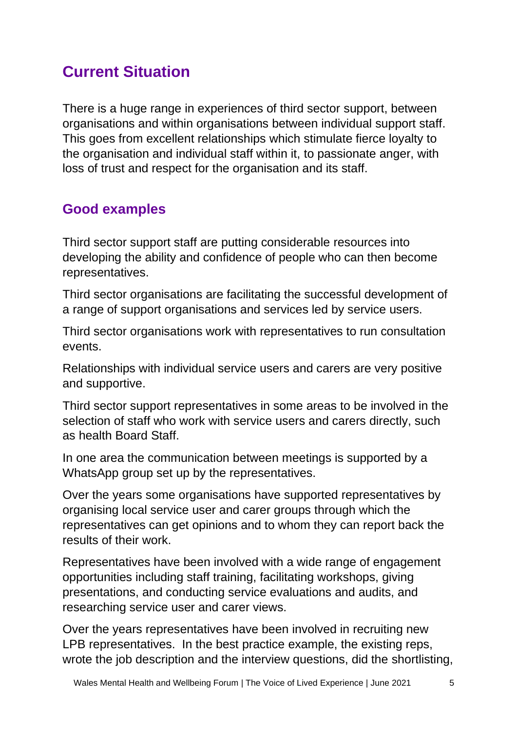# <span id="page-4-0"></span>**Current Situation**

There is a huge range in experiences of third sector support, between organisations and within organisations between individual support staff. This goes from excellent relationships which stimulate fierce loyalty to the organisation and individual staff within it, to passionate anger, with loss of trust and respect for the organisation and its staff.

### <span id="page-4-1"></span>**Good examples**

Third sector support staff are putting considerable resources into developing the ability and confidence of people who can then become representatives.

Third sector organisations are facilitating the successful development of a range of support organisations and services led by service users.

Third sector organisations work with representatives to run consultation events.

Relationships with individual service users and carers are very positive and supportive.

Third sector support representatives in some areas to be involved in the selection of staff who work with service users and carers directly, such as health Board Staff.

In one area the communication between meetings is supported by a WhatsApp group set up by the representatives.

Over the years some organisations have supported representatives by organising local service user and carer groups through which the representatives can get opinions and to whom they can report back the results of their work.

Representatives have been involved with a wide range of engagement opportunities including staff training, facilitating workshops, giving presentations, and conducting service evaluations and audits, and researching service user and carer views.

Over the years representatives have been involved in recruiting new LPB representatives. In the best practice example, the existing reps, wrote the job description and the interview questions, did the shortlisting,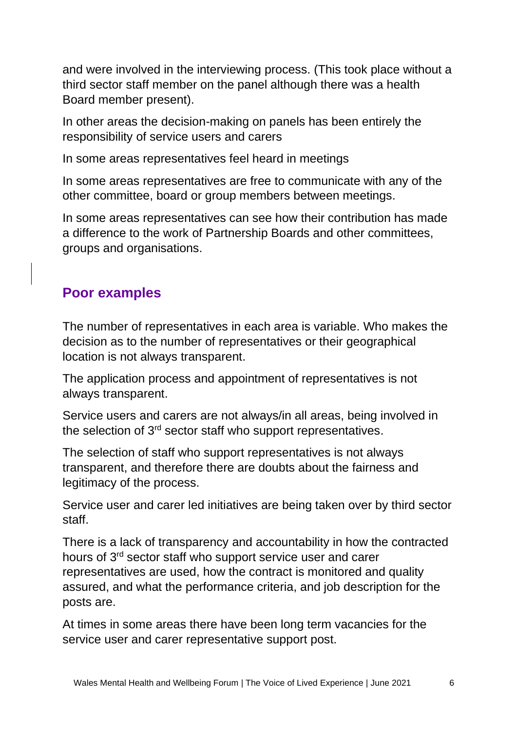and were involved in the interviewing process. (This took place without a third sector staff member on the panel although there was a health Board member present).

In other areas the decision-making on panels has been entirely the responsibility of service users and carers

In some areas representatives feel heard in meetings

In some areas representatives are free to communicate with any of the other committee, board or group members between meetings.

In some areas representatives can see how their contribution has made a difference to the work of Partnership Boards and other committees, groups and organisations.

### <span id="page-5-0"></span>**Poor examples**

The number of representatives in each area is variable. Who makes the decision as to the number of representatives or their geographical location is not always transparent.

The application process and appointment of representatives is not always transparent.

Service users and carers are not always/in all areas, being involved in the selection of 3rd sector staff who support representatives.

The selection of staff who support representatives is not always transparent, and therefore there are doubts about the fairness and legitimacy of the process.

Service user and carer led initiatives are being taken over by third sector staff.

There is a lack of transparency and accountability in how the contracted hours of 3<sup>rd</sup> sector staff who support service user and carer representatives are used, how the contract is monitored and quality assured, and what the performance criteria, and job description for the posts are.

At times in some areas there have been long term vacancies for the service user and carer representative support post.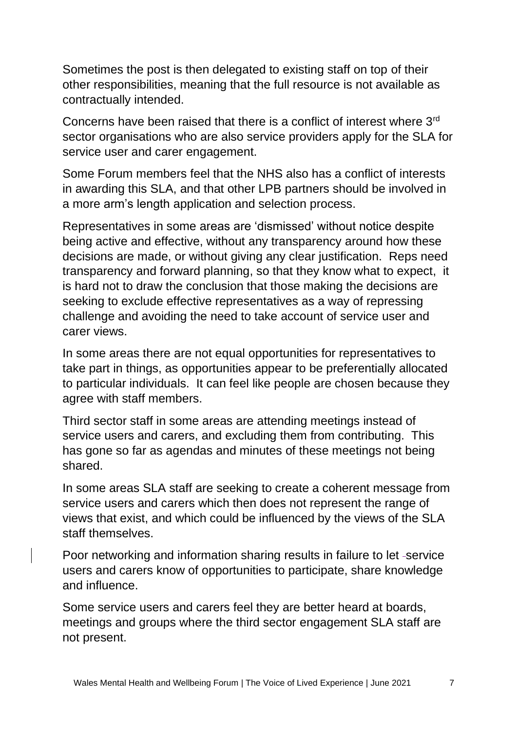Sometimes the post is then delegated to existing staff on top of their other responsibilities, meaning that the full resource is not available as contractually intended.

Concerns have been raised that there is a conflict of interest where 3rd sector organisations who are also service providers apply for the SLA for service user and carer engagement.

Some Forum members feel that the NHS also has a conflict of interests in awarding this SLA, and that other LPB partners should be involved in a more arm's length application and selection process.

Representatives in some areas are 'dismissed' without notice despite being active and effective, without any transparency around how these decisions are made, or without giving any clear justification. Reps need transparency and forward planning, so that they know what to expect, it is hard not to draw the conclusion that those making the decisions are seeking to exclude effective representatives as a way of repressing challenge and avoiding the need to take account of service user and carer views.

In some areas there are not equal opportunities for representatives to take part in things, as opportunities appear to be preferentially allocated to particular individuals. It can feel like people are chosen because they agree with staff members.

Third sector staff in some areas are attending meetings instead of service users and carers, and excluding them from contributing. This has gone so far as agendas and minutes of these meetings not being shared.

In some areas SLA staff are seeking to create a coherent message from service users and carers which then does not represent the range of views that exist, and which could be influenced by the views of the SLA staff themselves.

Poor networking and information sharing results in failure to let -service users and carers know of opportunities to participate, share knowledge and influence.

Some service users and carers feel they are better heard at boards, meetings and groups where the third sector engagement SLA staff are not present.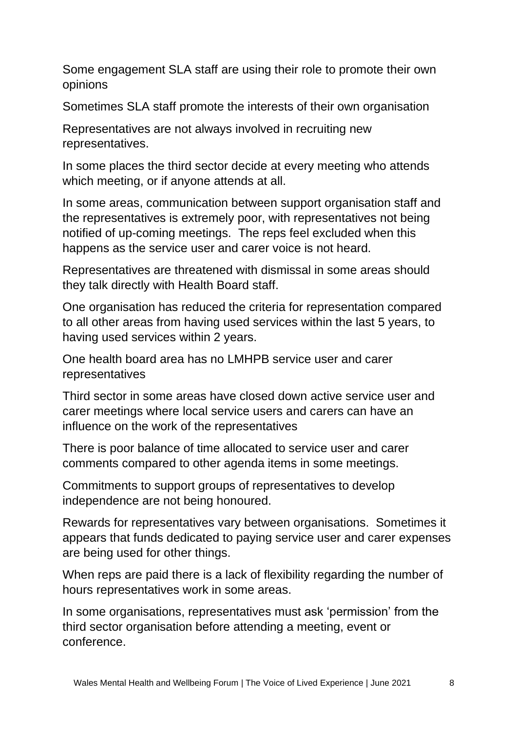Some engagement SLA staff are using their role to promote their own opinions

Sometimes SLA staff promote the interests of their own organisation

Representatives are not always involved in recruiting new representatives.

In some places the third sector decide at every meeting who attends which meeting, or if anyone attends at all.

In some areas, communication between support organisation staff and the representatives is extremely poor, with representatives not being notified of up-coming meetings. The reps feel excluded when this happens as the service user and carer voice is not heard.

Representatives are threatened with dismissal in some areas should they talk directly with Health Board staff.

One organisation has reduced the criteria for representation compared to all other areas from having used services within the last 5 years, to having used services within 2 years.

One health board area has no LMHPB service user and carer representatives

Third sector in some areas have closed down active service user and carer meetings where local service users and carers can have an influence on the work of the representatives

There is poor balance of time allocated to service user and carer comments compared to other agenda items in some meetings.

Commitments to support groups of representatives to develop independence are not being honoured.

Rewards for representatives vary between organisations. Sometimes it appears that funds dedicated to paying service user and carer expenses are being used for other things.

When reps are paid there is a lack of flexibility regarding the number of hours representatives work in some areas.

In some organisations, representatives must ask 'permission' from the third sector organisation before attending a meeting, event or conference.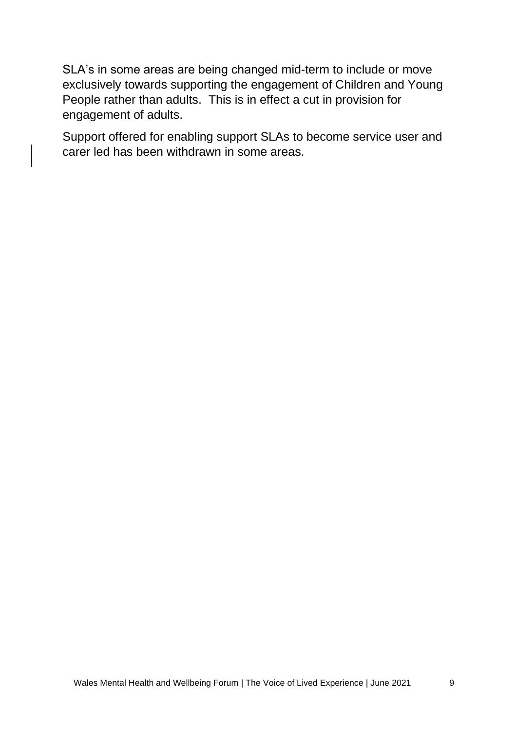SLA's in some areas are being changed mid-term to include or move exclusively towards supporting the engagement of Children and Young People rather than adults. This is in effect a cut in provision for engagement of adults.

Support offered for enabling support SLAs to become service user and carer led has been withdrawn in some areas.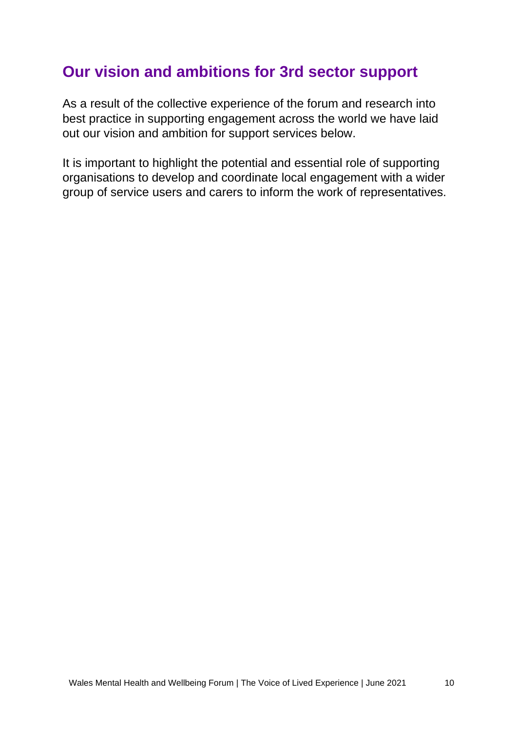# <span id="page-9-0"></span>**Our vision and ambitions for 3rd sector support**

As a result of the collective experience of the forum and research into best practice in supporting engagement across the world we have laid out our vision and ambition for support services below.

It is important to highlight the potential and essential role of supporting organisations to develop and coordinate local engagement with a wider group of service users and carers to inform the work of representatives.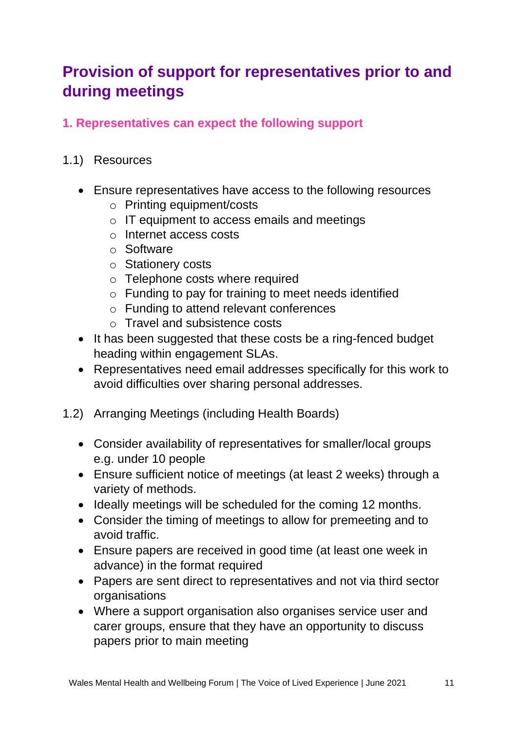# <span id="page-10-0"></span>**Provision of support for representatives prior to and during meetings**

#### **1. Representatives can expect the following support**

#### 1.1) Resources

- Ensure representatives have access to the following resources
	- o Printing equipment/costs
	- o IT equipment to access emails and meetings
	- o Internet access costs
	- o Software
	- o Stationery costs
	- o Telephone costs where required
	- o Funding to pay for training to meet needs identified
	- o Funding to attend relevant conferences
	- o Travel and subsistence costs
- It has been suggested that these costs be a ring-fenced budget heading within engagement SLAs.
- Representatives need email addresses specifically for this work to avoid difficulties over sharing personal addresses.
- 1.2) Arranging Meetings (including Health Boards)
	- Consider availability of representatives for smaller/local groups e.g. under 10 people
	- Ensure sufficient notice of meetings (at least 2 weeks) through a variety of methods.
	- Ideally meetings will be scheduled for the coming 12 months.
	- Consider the timing of meetings to allow for premeeting and to avoid traffic.
	- Ensure papers are received in good time (at least one week in advance) in the format required
	- Papers are sent direct to representatives and not via third sector organisations
	- Where a support organisation also organises service user and carer groups, ensure that they have an opportunity to discuss papers prior to main meeting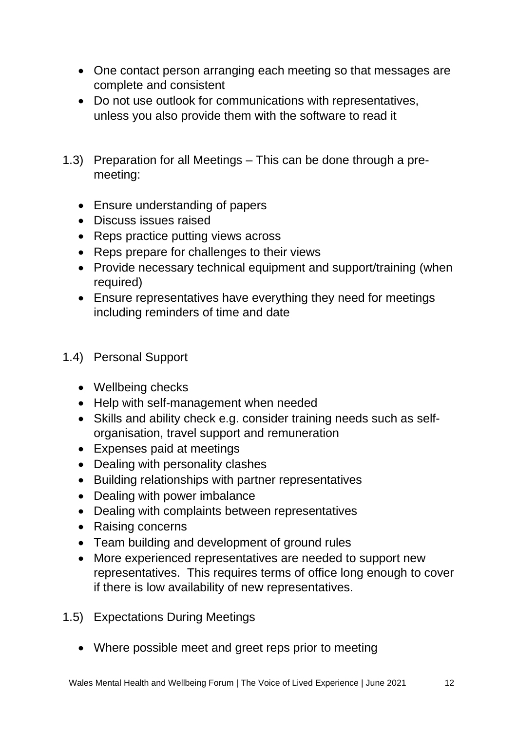- One contact person arranging each meeting so that messages are complete and consistent
- Do not use outlook for communications with representatives, unless you also provide them with the software to read it
- 1.3) Preparation for all Meetings This can be done through a premeeting:
	- Ensure understanding of papers
	- Discuss issues raised
	- Reps practice putting views across
	- Reps prepare for challenges to their views
	- Provide necessary technical equipment and support/training (when required)
	- Ensure representatives have everything they need for meetings including reminders of time and date

#### 1.4) Personal Support

- Wellbeing checks
- Help with self-management when needed
- Skills and ability check e.g. consider training needs such as selforganisation, travel support and remuneration
- Expenses paid at meetings
- Dealing with personality clashes
- Building relationships with partner representatives
- Dealing with power imbalance
- Dealing with complaints between representatives
- Raising concerns
- Team building and development of ground rules
- More experienced representatives are needed to support new representatives. This requires terms of office long enough to cover if there is low availability of new representatives.
- 1.5) Expectations During Meetings
	- Where possible meet and greet reps prior to meeting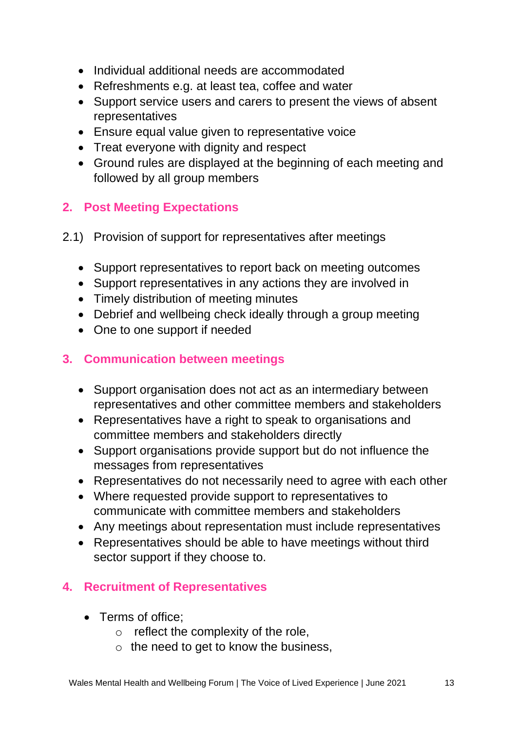- Individual additional needs are accommodated
- Refreshments e.g. at least tea, coffee and water
- Support service users and carers to present the views of absent representatives
- Ensure equal value given to representative voice
- Treat everyone with dignity and respect
- Ground rules are displayed at the beginning of each meeting and followed by all group members

#### **2. Post Meeting Expectations**

- 2.1) Provision of support for representatives after meetings
	- Support representatives to report back on meeting outcomes
	- Support representatives in any actions they are involved in
	- Timely distribution of meeting minutes
	- Debrief and wellbeing check ideally through a group meeting
	- One to one support if needed

#### **3. Communication between meetings**

- Support organisation does not act as an intermediary between representatives and other committee members and stakeholders
- Representatives have a right to speak to organisations and committee members and stakeholders directly
- Support organisations provide support but do not influence the messages from representatives
- Representatives do not necessarily need to agree with each other
- Where requested provide support to representatives to communicate with committee members and stakeholders
- Any meetings about representation must include representatives
- Representatives should be able to have meetings without third sector support if they choose to.

#### **4. Recruitment of Representatives**

- Terms of office:
	- $\circ$  reflect the complexity of the role.
	- $\circ$  the need to get to know the business,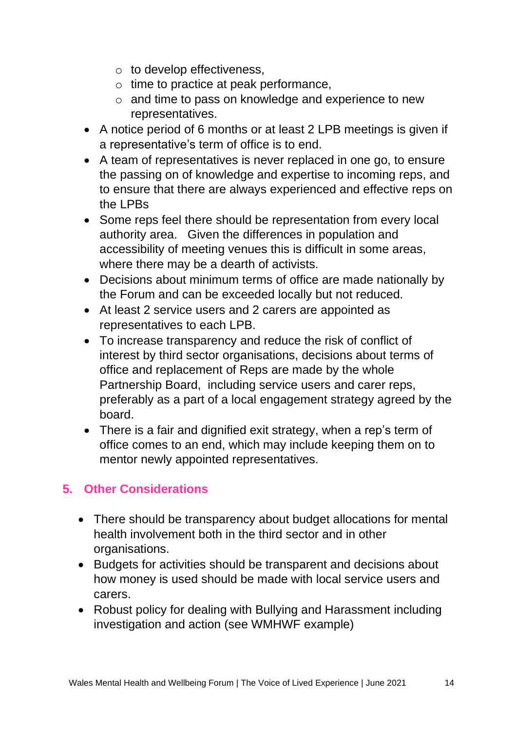- o to develop effectiveness,
- o time to practice at peak performance,
- o and time to pass on knowledge and experience to new representatives.
- A notice period of 6 months or at least 2 LPB meetings is given if a representative's term of office is to end.
- A team of representatives is never replaced in one go, to ensure the passing on of knowledge and expertise to incoming reps, and to ensure that there are always experienced and effective reps on the LPBs
- Some reps feel there should be representation from every local authority area. Given the differences in population and accessibility of meeting venues this is difficult in some areas, where there may be a dearth of activists.
- Decisions about minimum terms of office are made nationally by the Forum and can be exceeded locally but not reduced.
- At least 2 service users and 2 carers are appointed as representatives to each LPB.
- To increase transparency and reduce the risk of conflict of interest by third sector organisations, decisions about terms of office and replacement of Reps are made by the whole Partnership Board, including service users and carer reps, preferably as a part of a local engagement strategy agreed by the board.
- There is a fair and dignified exit strategy, when a rep's term of office comes to an end, which may include keeping them on to mentor newly appointed representatives.

#### **5. Other Considerations**

- There should be transparency about budget allocations for mental health involvement both in the third sector and in other organisations.
- Budgets for activities should be transparent and decisions about how money is used should be made with local service users and carers.
- Robust policy for dealing with Bullying and Harassment including investigation and action (see WMHWF example)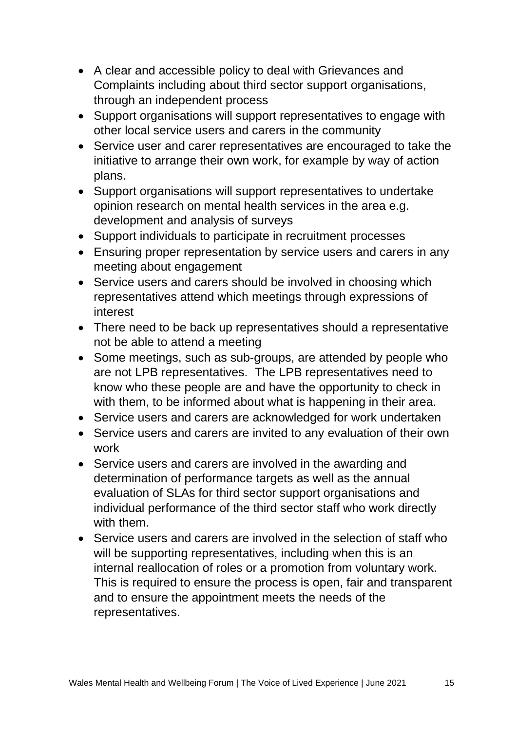- A clear and accessible policy to deal with Grievances and Complaints including about third sector support organisations, through an independent process
- Support organisations will support representatives to engage with other local service users and carers in the community
- Service user and carer representatives are encouraged to take the initiative to arrange their own work, for example by way of action plans.
- Support organisations will support representatives to undertake opinion research on mental health services in the area e.g. development and analysis of surveys
- Support individuals to participate in recruitment processes
- Ensuring proper representation by service users and carers in any meeting about engagement
- Service users and carers should be involved in choosing which representatives attend which meetings through expressions of interest
- There need to be back up representatives should a representative not be able to attend a meeting
- Some meetings, such as sub-groups, are attended by people who are not LPB representatives. The LPB representatives need to know who these people are and have the opportunity to check in with them, to be informed about what is happening in their area.
- Service users and carers are acknowledged for work undertaken
- Service users and carers are invited to any evaluation of their own work
- Service users and carers are involved in the awarding and determination of performance targets as well as the annual evaluation of SLAs for third sector support organisations and individual performance of the third sector staff who work directly with them.
- Service users and carers are involved in the selection of staff who will be supporting representatives, including when this is an internal reallocation of roles or a promotion from voluntary work. This is required to ensure the process is open, fair and transparent and to ensure the appointment meets the needs of the representatives.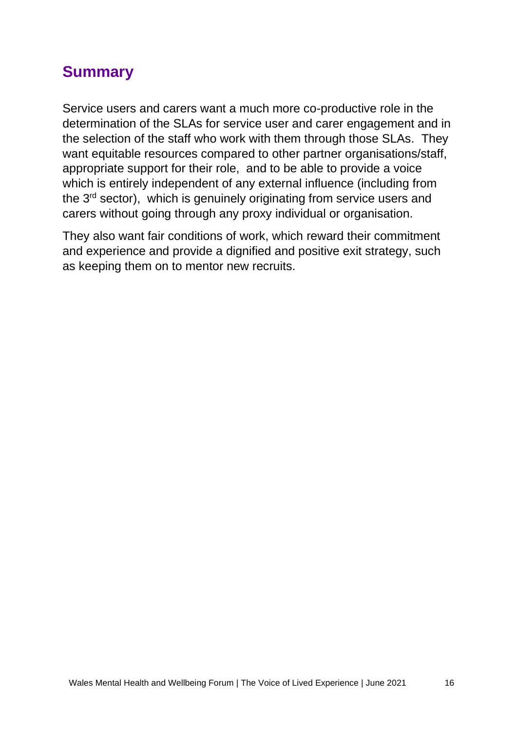# <span id="page-15-0"></span>**Summary**

Service users and carers want a much more co-productive role in the determination of the SLAs for service user and carer engagement and in the selection of the staff who work with them through those SLAs. They want equitable resources compared to other partner organisations/staff, appropriate support for their role, and to be able to provide a voice which is entirely independent of any external influence (including from the 3<sup>rd</sup> sector), which is genuinely originating from service users and carers without going through any proxy individual or organisation.

They also want fair conditions of work, which reward their commitment and experience and provide a dignified and positive exit strategy, such as keeping them on to mentor new recruits.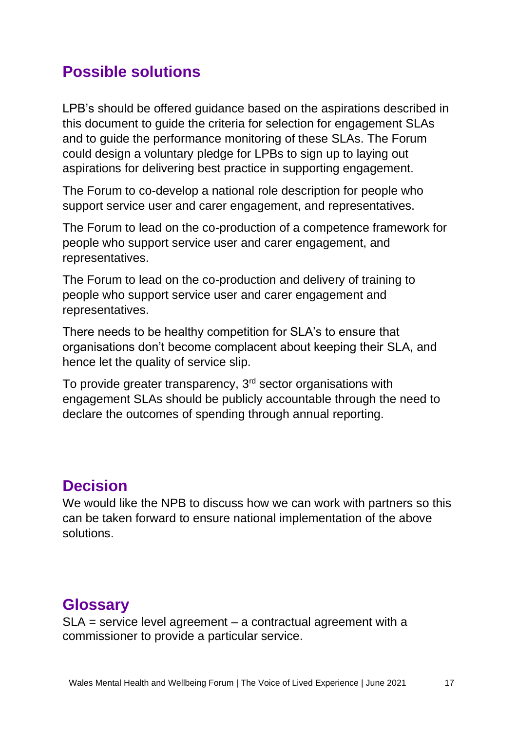# <span id="page-16-0"></span>**Possible solutions**

LPB's should be offered guidance based on the aspirations described in this document to guide the criteria for selection for engagement SLAs and to guide the performance monitoring of these SLAs. The Forum could design a voluntary pledge for LPBs to sign up to laying out aspirations for delivering best practice in supporting engagement.

The Forum to co-develop a national role description for people who support service user and carer engagement, and representatives.

The Forum to lead on the co-production of a competence framework for people who support service user and carer engagement, and representatives.

The Forum to lead on the co-production and delivery of training to people who support service user and carer engagement and representatives.

There needs to be healthy competition for SLA's to ensure that organisations don't become complacent about keeping their SLA, and hence let the quality of service slip.

To provide greater transparency, 3<sup>rd</sup> sector organisations with engagement SLAs should be publicly accountable through the need to declare the outcomes of spending through annual reporting.

### <span id="page-16-1"></span>**Decision**

We would like the NPB to discuss how we can work with partners so this can be taken forward to ensure national implementation of the above solutions.

# <span id="page-16-2"></span>**Glossary**

SLA = service level agreement – a contractual agreement with a commissioner to provide a particular service.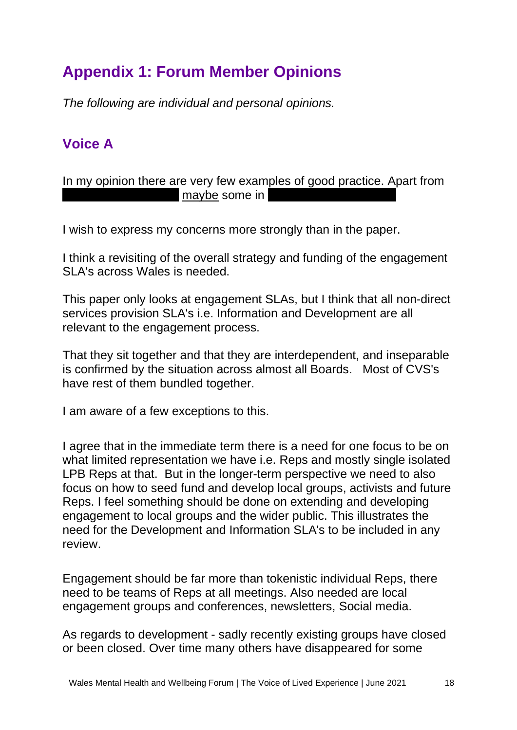# <span id="page-17-0"></span>**Appendix 1: Forum Member Opinions**

*The following are individual and personal opinions.*

### <span id="page-17-1"></span>**Voice A**

In my opinion there are very few examples of good practice. Apart from maybe some in

I wish to express my concerns more strongly than in the paper.

I think a revisiting of the overall strategy and funding of the engagement SLA's across Wales is needed.

This paper only looks at engagement SLAs, but I think that all non-direct services provision SLA's i.e. Information and Development are all relevant to the engagement process.

That they sit together and that they are interdependent, and inseparable is confirmed by the situation across almost all Boards. Most of CVS's have rest of them bundled together.

I am aware of a few exceptions to this.

I agree that in the immediate term there is a need for one focus to be on what limited representation we have i.e. Reps and mostly single isolated LPB Reps at that. But in the longer-term perspective we need to also focus on how to seed fund and develop local groups, activists and future Reps. I feel something should be done on extending and developing engagement to local groups and the wider public. This illustrates the need for the Development and Information SLA's to be included in any review.

Engagement should be far more than tokenistic individual Reps, there need to be teams of Reps at all meetings. Also needed are local engagement groups and conferences, newsletters, Social media.

As regards to development - sadly recently existing groups have closed or been closed. Over time many others have disappeared for some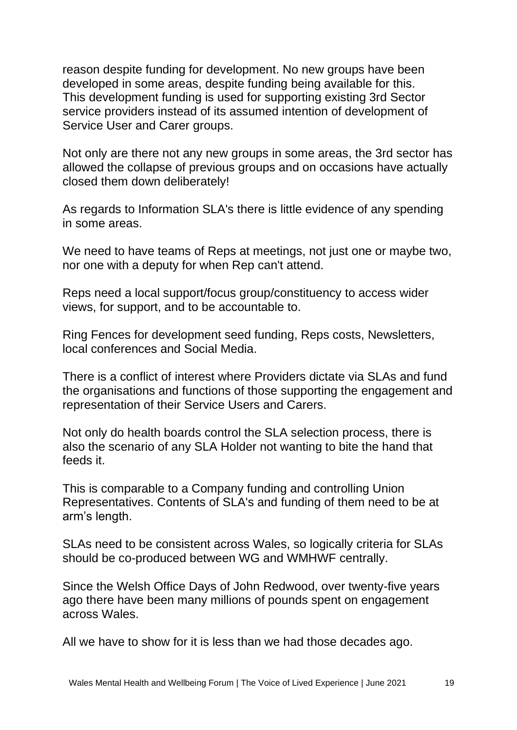reason despite funding for development. No new groups have been developed in some areas, despite funding being available for this. This development funding is used for supporting existing 3rd Sector service providers instead of its assumed intention of development of Service User and Carer groups.

Not only are there not any new groups in some areas, the 3rd sector has allowed the collapse of previous groups and on occasions have actually closed them down deliberately!

As regards to Information SLA's there is little evidence of any spending in some areas.

We need to have teams of Reps at meetings, not just one or maybe two, nor one with a deputy for when Rep can't attend.

Reps need a local support/focus group/constituency to access wider views, for support, and to be accountable to.

Ring Fences for development seed funding, Reps costs, Newsletters, local conferences and Social Media.

There is a conflict of interest where Providers dictate via SLAs and fund the organisations and functions of those supporting the engagement and representation of their Service Users and Carers.

Not only do health boards control the SLA selection process, there is also the scenario of any SLA Holder not wanting to bite the hand that feeds it.

This is comparable to a Company funding and controlling Union Representatives. Contents of SLA's and funding of them need to be at arm's length.

SLAs need to be consistent across Wales, so logically criteria for SLAs should be co-produced between WG and WMHWF centrally.

Since the Welsh Office Days of John Redwood, over twenty-five years ago there have been many millions of pounds spent on engagement across Wales.

All we have to show for it is less than we had those decades ago.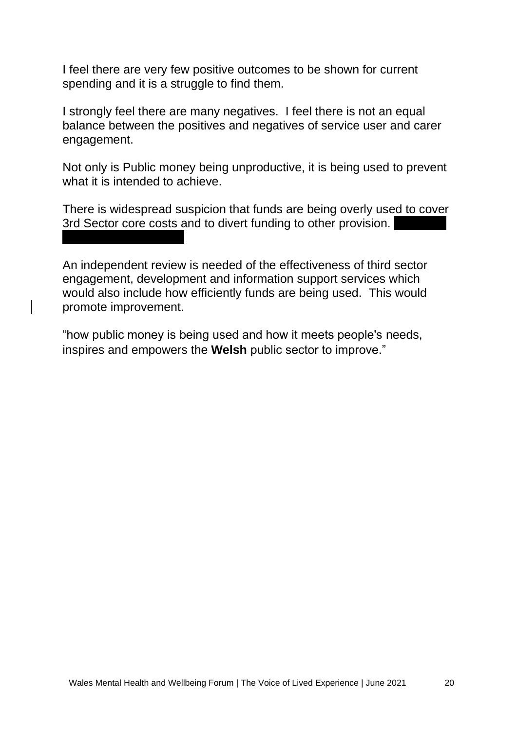I feel there are very few positive outcomes to be shown for current spending and it is a struggle to find them.

I strongly feel there are many negatives. I feel there is not an equal balance between the positives and negatives of service user and carer engagement.

Not only is Public money being unproductive, it is being used to prevent what it is intended to achieve.

There is widespread suspicion that funds are being overly used to cover 3rd Sector core costs and to divert funding to other provision.

An independent review is needed of the effectiveness of third sector engagement, development and information support services which would also include how efficiently funds are being used. This would promote improvement.

"how public money is being used and how it meets people's needs, inspires and empowers the **Welsh** public sector to improve."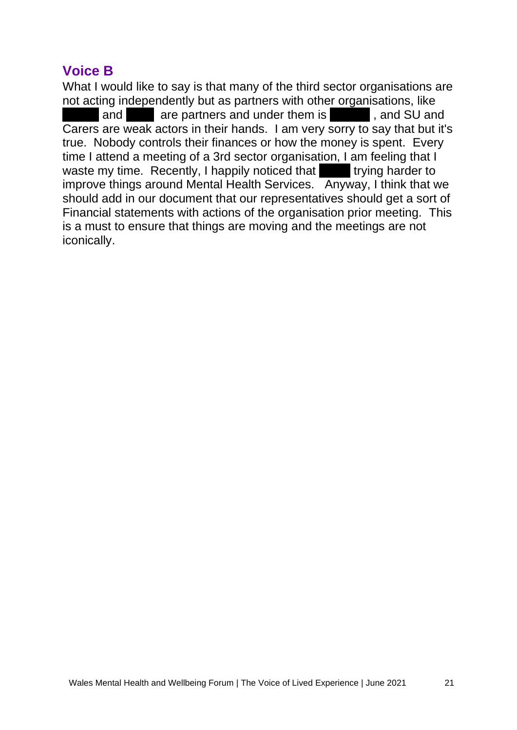### <span id="page-20-0"></span>**Voice B**

What I would like to say is that many of the third sector organisations are not acting independently but as partners with other organisations, like and **a** are partners and under them is **Exercise 2.1 and SU and 2.1 and SU and 3.1 and SU and 3.1 and 5.1 and 5.1 and 5.1 and 5.1 and 5.1 and 5.1 and 5.1 and 5.1 and 5.1 and 5.1 and 5.1 and 5.1 and 5.1 and 5.1 and 5.1 and** Carers are weak actors in their hands. I am very sorry to say that but it's true. Nobody controls their finances or how the money is spent. Every time I attend a meeting of a 3rd sector organisation, I am feeling that I waste my time. Recently, I happily noticed that trying harder to improve things around Mental Health Services. Anyway, I think that we should add in our document that our representatives should get a sort of Financial statements with actions of the organisation prior meeting. This is a must to ensure that things are moving and the meetings are not iconically.